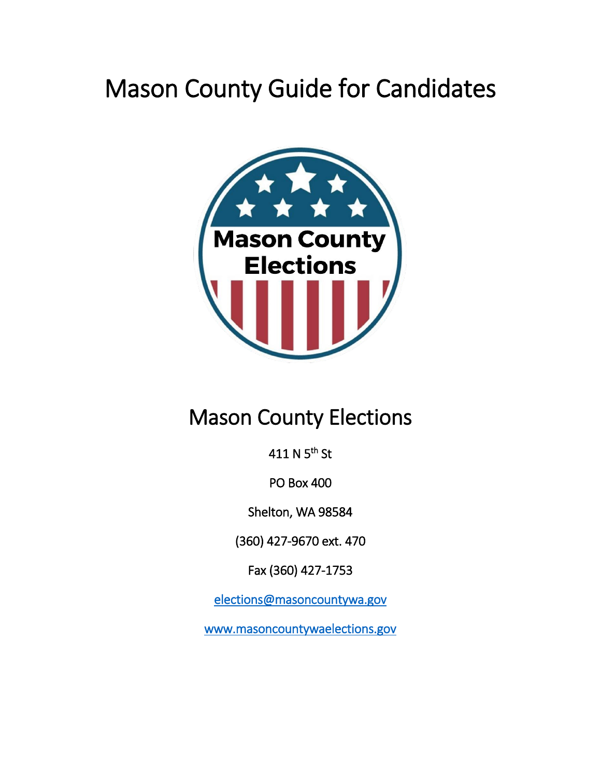# Mason County Guide for Candidates



# Mason County Elections

411 N 5<sup>th</sup> St

PO Box 400

Shelton, WA 98584

(360) 427-9670 ext. 470

Fax (360) 427-1753

[elections@masoncountywa.gov](mailto:elections@masoncountywa.gov) 

[www.masoncountywaelections.gov](http://www.masoncountywaelections.gov/)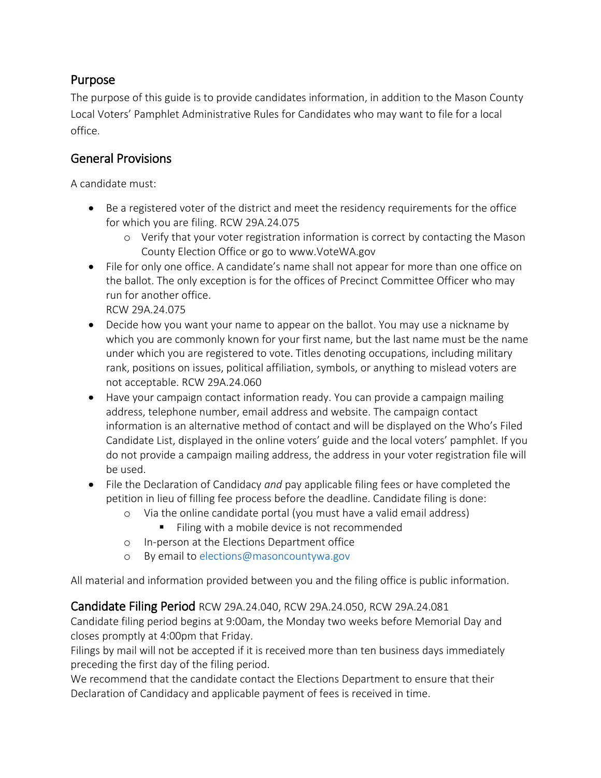#### Purpose

The purpose of this guide is to provide candidates information, in addition to the Mason County Local Voters' Pamphlet Administrative Rules for Candidates who may want to file for a local office.

# General Provisions

A candidate must:

- Be a registered voter of the district and meet the residency requirements for the office for which you are filing. RCW 29A.24.075
	- o Verify that your voter registration information is correct by contacting the Mason County Election Office or go to www.VoteWA.gov
- File for only one office. A candidate's name shall not appear for more than one office on the ballot. The only exception is for the offices of Precinct Committee Officer who may run for another office.

RCW 29A.24.075

- Decide how you want your name to appear on the ballot. You may use a nickname by which you are commonly known for your first name, but the last name must be the name under which you are registered to vote. Titles denoting occupations, including military rank, positions on issues, political affiliation, symbols, or anything to mislead voters are not acceptable. RCW 29A.24.060
- Have your campaign contact information ready. You can provide a campaign mailing address, telephone number, email address and website. The campaign contact information is an alternative method of contact and will be displayed on the Who's Filed Candidate List, displayed in the online voters' guide and the local voters' pamphlet. If you do not provide a campaign mailing address, the address in your voter registration file will be used.
- File the Declaration of Candidacy *and* pay applicable filing fees or have completed the petition in lieu of filling fee process before the deadline. Candidate filing is done:
	- o Via the online candidate portal (you must have a valid email address)
		- Filing with a mobile device is not recommended
	- o In-person at the Elections Department office
	- o By email to [elections@masoncountywa.gov](mailto:elections@masoncountywa.gov)

All material and information provided between you and the filing office is public information.

Candidate Filing Period RCW 29A.24.040, RCW 29A.24.050, RCW 29A.24.081

Candidate filing period begins at 9:00am, the Monday two weeks before Memorial Day and closes promptly at 4:00pm that Friday.

Filings by mail will not be accepted if it is received more than ten business days immediately preceding the first day of the filing period.

We recommend that the candidate contact the Elections Department to ensure that their Declaration of Candidacy and applicable payment of fees is received in time.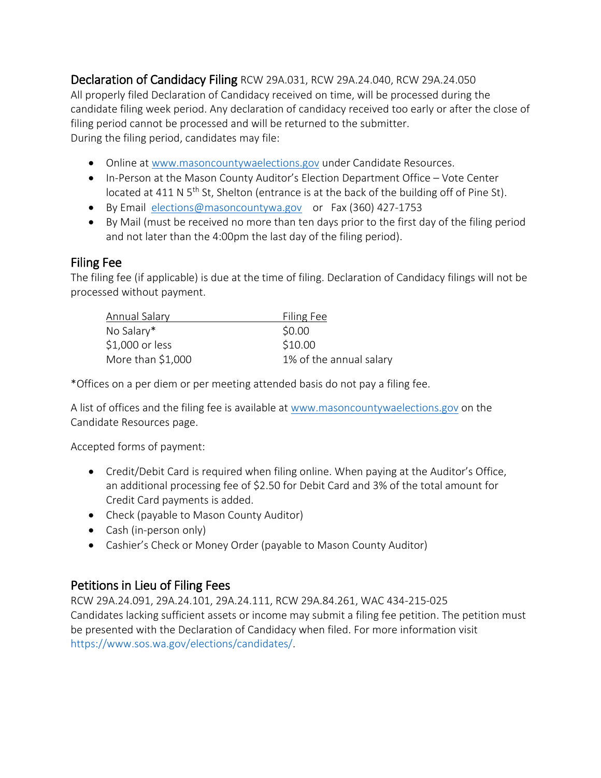Declaration of Candidacy Filing RCW 29A.031, RCW 29A.24.040, RCW 29A.24.050 All properly filed Declaration of Candidacy received on time, will be processed during the candidate filing week period. Any declaration of candidacy received too early or after the close of filing period cannot be processed and will be returned to the submitter. During the filing period, candidates may file:

- Online at [www.masoncountywaelections.gov](http://www.masoncountywaelections.gov/) under Candidate Resources.
- In-Person at the Mason County Auditor's Election Department Office Vote Center located at 411 N 5<sup>th</sup> St, Shelton (entrance is at the back of the building off of Pine St).
- By Email [elections@masoncountywa.gov](mailto:elections@masoncountywa.gov) or Fax (360) 427-1753
- By Mail (must be received no more than ten days prior to the first day of the filing period and not later than the 4:00pm the last day of the filing period).

#### Filing Fee

The filing fee (if applicable) is due at the time of filing. Declaration of Candidacy filings will not be processed without payment.

| Filing Fee              |
|-------------------------|
| \$0.00                  |
| \$10.00                 |
| 1% of the annual salary |
|                         |

\*Offices on a per diem or per meeting attended basis do not pay a filing fee.

A list of offices and the filing fee is available at [www.masoncountywaelections.gov](http://www.masoncountywaelections.gov/) on the Candidate Resources page.

Accepted forms of payment:

- Credit/Debit Card is required when filing online. When paying at the Auditor's Office, an additional processing fee of \$2.50 for Debit Card and 3% of the total amount for Credit Card payments is added.
- Check (payable to Mason County Auditor)
- Cash (in-person only)
- Cashier's Check or Money Order (payable to Mason County Auditor)

# Petitions in Lieu of Filing Fees

RCW 29A.24.091, 29A.24.101, 29A.24.111, RCW 29A.84.261, WAC 434-215-025 Candidates lacking sufficient assets or income may submit a filing fee petition. The petition must be presented with the Declaration of Candidacy when filed. For more information visit [https://www.sos.wa.gov/elections/candidates/.](https://www.sos.wa.gov/elections/candidates/)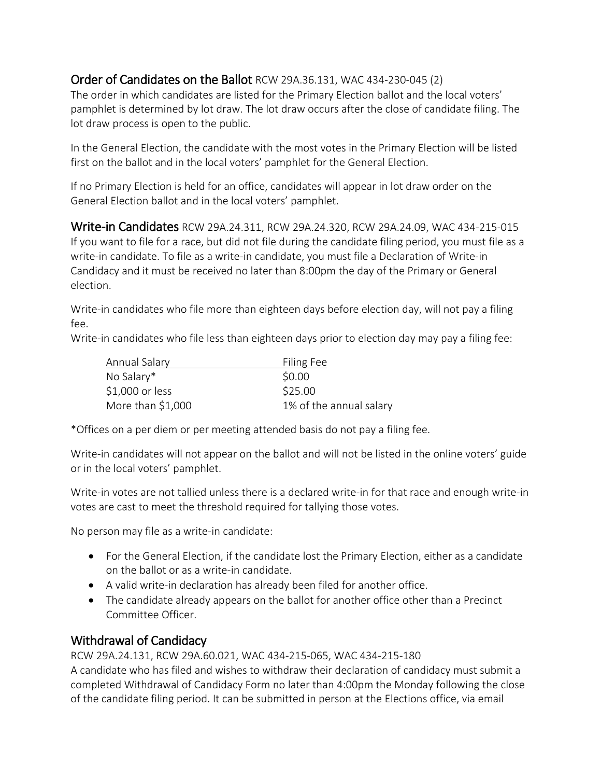#### Order of Candidates on the Ballot RCW 29A.36.131, WAC 434-230-045 (2)

The order in which candidates are listed for the Primary Election ballot and the local voters' pamphlet is determined by lot draw. The lot draw occurs after the close of candidate filing. The lot draw process is open to the public.

In the General Election, the candidate with the most votes in the Primary Election will be listed first on the ballot and in the local voters' pamphlet for the General Election.

If no Primary Election is held for an office, candidates will appear in lot draw order on the General Election ballot and in the local voters' pamphlet.

Write-in Candidates RCW 29A.24.311, RCW 29A.24.320, RCW 29A.24.09, WAC 434-215-015 If you want to file for a race, but did not file during the candidate filing period, you must file as a write-in candidate. To file as a write-in candidate, you must file a Declaration of Write-in Candidacy and it must be received no later than 8:00pm the day of the Primary or General election.

Write-in candidates who file more than eighteen days before election day, will not pay a filing fee.

Write-in candidates who file less than eighteen days prior to election day may pay a filing fee:

| Annual Salary      | Filing Fee              |
|--------------------|-------------------------|
| No Salary*         | \$0.00                  |
| $$1,000$ or less   | \$25.00                 |
| More than $$1,000$ | 1% of the annual salary |

\*Offices on a per diem or per meeting attended basis do not pay a filing fee.

Write-in candidates will not appear on the ballot and will not be listed in the online voters' guide or in the local voters' pamphlet.

Write-in votes are not tallied unless there is a declared write-in for that race and enough write-in votes are cast to meet the threshold required for tallying those votes.

No person may file as a write-in candidate:

- For the General Election, if the candidate lost the Primary Election, either as a candidate on the ballot or as a write-in candidate.
- A valid write-in declaration has already been filed for another office.
- The candidate already appears on the ballot for another office other than a Precinct Committee Officer.

# Withdrawal of Candidacy

RCW 29A.24.131, RCW 29A.60.021, WAC 434-215-065, WAC 434-215-180

A candidate who has filed and wishes to withdraw their declaration of candidacy must submit a completed Withdrawal of Candidacy Form no later than 4:00pm the Monday following the close of the candidate filing period. It can be submitted in person at the Elections office, via email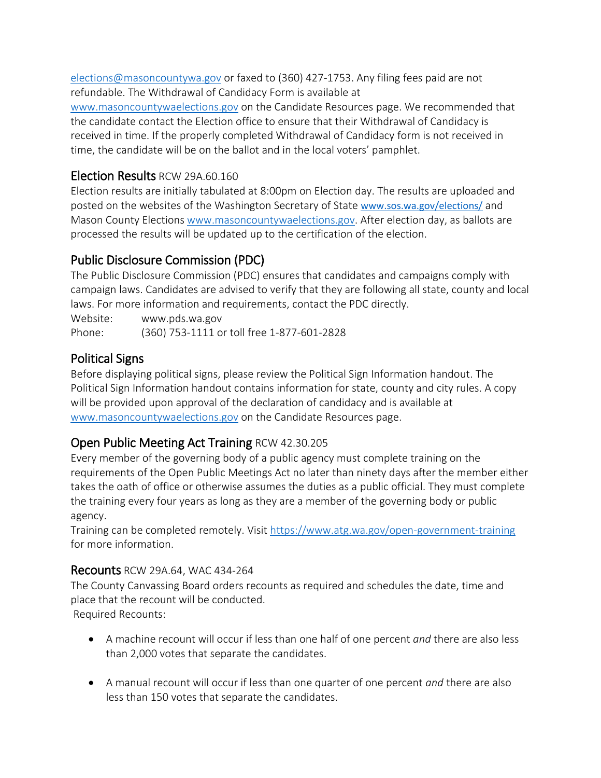[elections@masoncountywa.gov](mailto:elections@masoncountywa.gov) or faxed to (360) 427-1753. Any filing fees paid are not refundable. The Withdrawal of Candidacy Form is available at

[www.masoncountywaelections.gov](http://www.masoncountywaelections.gov/) on the Candidate Resources page. We recommended that the candidate contact the Election office to ensure that their Withdrawal of Candidacy is received in time. If the properly completed Withdrawal of Candidacy form is not received in time, the candidate will be on the ballot and in the local voters' pamphlet.

#### Election Results RCW 29A.60.160

Election results are initially tabulated at 8:00pm on Election day. The results are uploaded and posted on the websites of the Washington Secretary of State [www.sos.wa.gov/elections/](http://www.sos.wa.gov/elections/) and Mason County Election[s www.masoncountywaelections.gov.](http://www.masoncountywaelections.gov/) After election day, as ballots are processed the results will be updated up to the certification of the election.

# Public Disclosure Commission (PDC)

The Public Disclosure Commission (PDC) ensures that candidates and campaigns comply with campaign laws. Candidates are advised to verify that they are following all state, county and local laws. For more information and requirements, contact the PDC directly.

Website: www.pds.wa.gov

Phone: (360) 753-1111 or toll free 1-877-601-2828

# Political Signs

Before displaying political signs, please review the Political Sign Information handout. The Political Sign Information handout contains information for state, county and city rules. A copy will be provided upon approval of the declaration of candidacy and is available at [www.masoncountywaelections.gov](http://www.masoncountywaelections.gov/) on the Candidate Resources page.

# Open Public Meeting Act Training RCW 42.30.205

Every member of the governing body of a public agency must complete training on the requirements of the Open Public Meetings Act no later than ninety days after the member either takes the oath of office or otherwise assumes the duties as a public official. They must complete the training every four years as long as they are a member of the governing body or public agency.

Training can be completed remotely. Visit<https://www.atg.wa.gov/open-government-training> for more information.

#### Recounts RCW 29A.64, WAC 434-264

The County Canvassing Board orders recounts as required and schedules the date, time and place that the recount will be conducted.

Required Recounts:

- A machine recount will occur if less than one half of one percent *and* there are also less than 2,000 votes that separate the candidates.
- A manual recount will occur if less than one quarter of one percent *and* there are also less than 150 votes that separate the candidates.